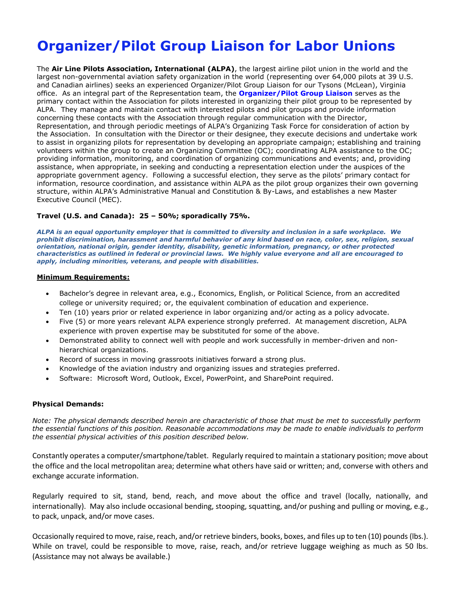# **Organizer/Pilot Group Liaison for Labor Unions**

The **Air Line Pilots Association, International (ALPA)**, the largest airline pilot union in the world and the largest non-governmental aviation safety organization in the world (representing over 64,000 pilots at 39 U.S. and Canadian airlines) seeks an experienced Organizer/Pilot Group Liaison for our Tysons (McLean), Virginia office. As an integral part of the Representation team, the **Organizer/Pilot Group Liaison** serves as the primary contact within the Association for pilots interested in organizing their pilot group to be represented by ALPA. They manage and maintain contact with interested pilots and pilot groups and provide information concerning these contacts with the Association through regular communication with the Director, Representation, and through periodic meetings of ALPA's Organizing Task Force for consideration of action by the Association. In consultation with the Director or their designee, they execute decisions and undertake work to assist in organizing pilots for representation by developing an appropriate campaign; establishing and training volunteers within the group to create an Organizing Committee (OC); coordinating ALPA assistance to the OC; providing information, monitoring, and coordination of organizing communications and events; and, providing assistance, when appropriate, in seeking and conducting a representation election under the auspices of the appropriate government agency. Following a successful election, they serve as the pilots' primary contact for information, resource coordination, and assistance within ALPA as the pilot group organizes their own governing structure, within ALPA's Administrative Manual and Constitution & By-Laws, and establishes a new Master Executive Council (MEC).

### **Travel (U.S. and Canada): 25 – 50%; sporadically 75%.**

*ALPA is an equal opportunity employer that is committed to diversity and inclusion in a safe workplace. We prohibit discrimination, harassment and harmful behavior of any kind based on race, color, sex, religion, sexual orientation, national origin, gender identity, disability, genetic information, pregnancy, or other protected characteristics as outlined in federal or provincial laws. We highly value everyone and all are encouraged to apply, including minorities, veterans, and people with disabilities.*

#### **Minimum Requirements:**

- Bachelor's degree in relevant area, e.g., Economics, English, or Political Science, from an accredited college or university required; or, the equivalent combination of education and experience.
- Ten (10) years prior or related experience in labor organizing and/or acting as a policy advocate.
- Five (5) or more years relevant ALPA experience strongly preferred. At management discretion, ALPA experience with proven expertise may be substituted for some of the above.
- Demonstrated ability to connect well with people and work successfully in member-driven and nonhierarchical organizations.
- Record of success in moving grassroots initiatives forward a strong plus.
- Knowledge of the aviation industry and organizing issues and strategies preferred.
- Software: Microsoft Word, Outlook, Excel, PowerPoint, and SharePoint required.

#### **Physical Demands:**

*Note: The physical demands described herein are characteristic of those that must be met to successfully perform the essential functions of this position. Reasonable accommodations may be made to enable individuals to perform the essential physical activities of this position described below.* 

Constantly operates a computer/smartphone/tablet. Regularly required to maintain a stationary position; move about the office and the local metropolitan area; determine what others have said or written; and, converse with others and exchange accurate information.

Regularly required to sit, stand, bend, reach, and move about the office and travel (locally, nationally, and internationally). May also include occasional bending, stooping, squatting, and/or pushing and pulling or moving, e.g., to pack, unpack, and/or move cases.

Occasionally required to move, raise, reach, and/or retrieve binders, books, boxes, and files up to ten (10) pounds (lbs.). While on travel, could be responsible to move, raise, reach, and/or retrieve luggage weighing as much as 50 lbs. (Assistance may not always be available.)